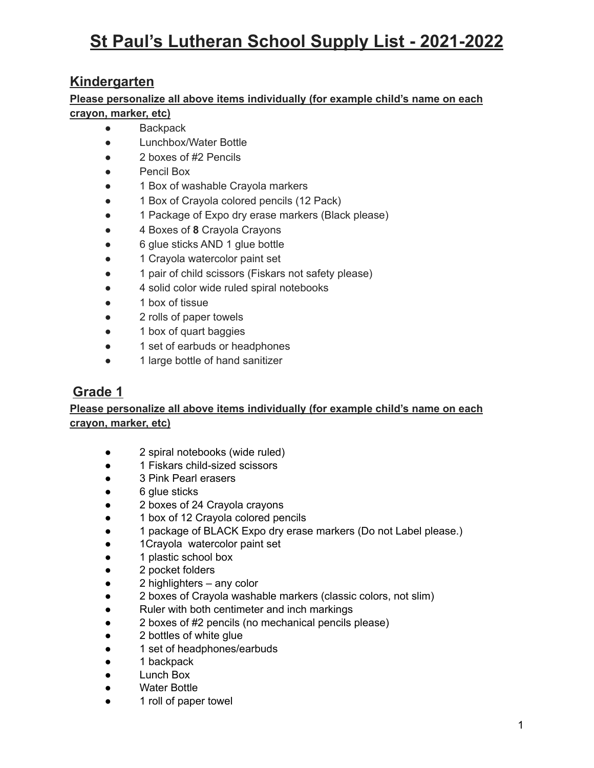## **St Paul's Lutheran School Supply List - 2021-2022**

#### **Kindergarten**

#### **Please personalize all above items individually (for example child's name on each crayon, marker, etc)**

- Backpack
- Lunchbox/Water Bottle
- 2 boxes of #2 Pencils
- Pencil Box
- 1 Box of washable Crayola markers
- 1 Box of Crayola colored pencils (12 Pack)
- 1 Package of Expo dry erase markers (Black please)
- 4 Boxes of **8** Crayola Crayons
- 6 glue sticks AND 1 glue bottle
- 1 Crayola watercolor paint set
- 1 pair of child scissors (Fiskars not safety please)
- 4 solid color wide ruled spiral notebooks
- 1 box of tissue
- 2 rolls of paper towels
- 1 box of quart baggies
- 1 set of earbuds or headphones
- 1 large bottle of hand sanitizer

#### **Grade 1**

#### **Please personalize all above items individually (for example child's name on each crayon, marker, etc)**

- 2 spiral notebooks (wide ruled)
- 1 Fiskars child-sized scissors
- 3 Pink Pearl erasers
- 6 glue sticks
- 2 boxes of 24 Crayola crayons
- 1 box of 12 Crayola colored pencils
- 1 package of BLACK Expo dry erase markers (Do not Label please.)
- 1Crayola watercolor paint set
- 1 plastic school box
- 2 pocket folders
- 2 highlighters any color
- 2 boxes of Crayola washable markers (classic colors, not slim)
- Ruler with both centimeter and inch markings
- 2 boxes of #2 pencils (no mechanical pencils please)
- 2 bottles of white glue
- 1 set of headphones/earbuds
- 1 backpack
- Lunch Box
- Water Bottle
- 1 roll of paper towel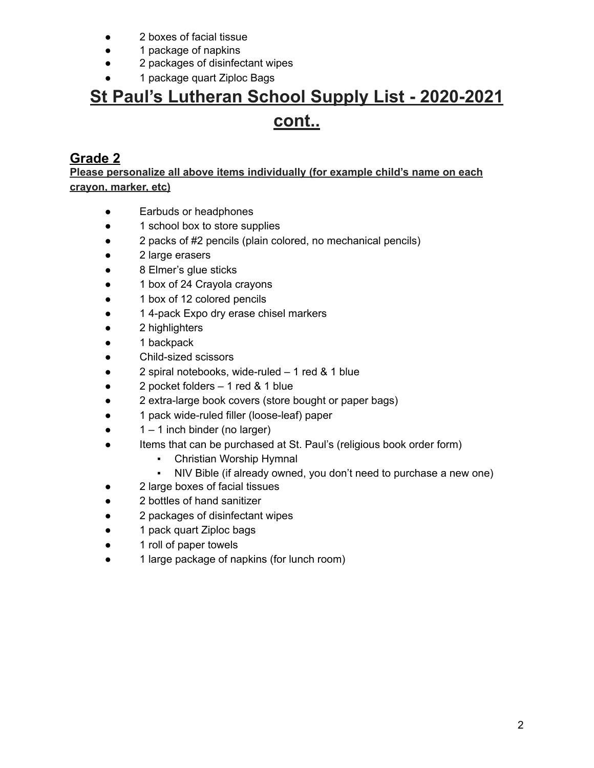- 2 boxes of facial tissue
- 1 package of napkins
- 2 packages of disinfectant wipes
- 1 package quart Ziploc Bags

### **Grade 2**

**Please personalize all above items individually (for example child's name on each crayon, marker, etc)**

- Earbuds or headphones
- 1 school box to store supplies
- 2 packs of #2 pencils (plain colored, no mechanical pencils)
- 2 large erasers
- 8 Elmer's glue sticks
- 1 box of 24 Crayola crayons
- 1 box of 12 colored pencils
- 1 4-pack Expo dry erase chisel markers
- 2 highlighters
- 1 backpack
- Child-sized scissors
- 2 spiral notebooks, wide-ruled 1 red & 1 blue
- 2 pocket folders 1 red & 1 blue
- 2 extra-large book covers (store bought or paper bags)
- 1 pack wide-ruled filler (loose-leaf) paper
- $\bullet$  1 1 inch binder (no larger)
- Items that can be purchased at St. Paul's (religious book order form)
	- **Christian Worship Hymnal**
	- NIV Bible (if already owned, you don't need to purchase a new one)
- 2 large boxes of facial tissues
- 2 bottles of hand sanitizer
- 2 packages of disinfectant wipes
- 1 pack quart Ziploc bags
- 1 roll of paper towels
- 1 large package of napkins (for lunch room)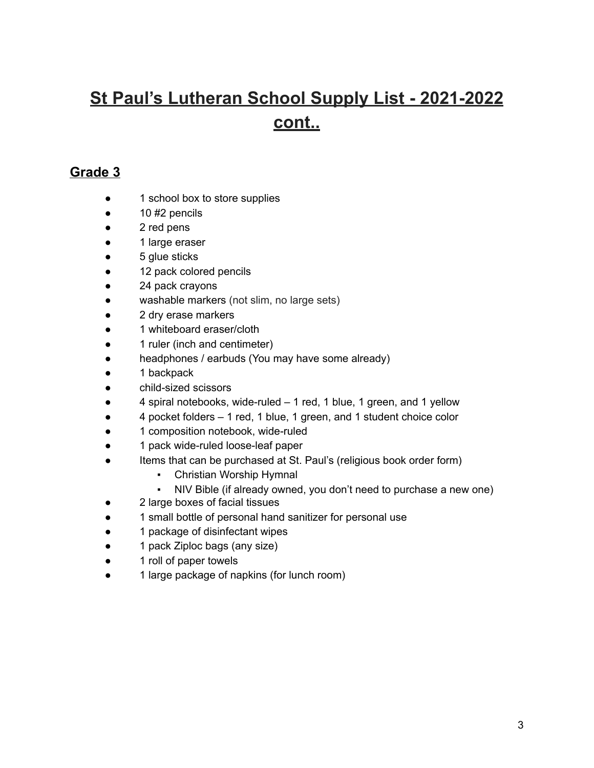#### **Grade 3**

- 1 school box to store supplies
- $\bullet$  10 #2 pencils
- 2 red pens
- 1 large eraser
- 5 glue sticks
- 12 pack colored pencils
- 24 pack crayons
- washable markers (not slim, no large sets)
- 2 dry erase markers
- 1 whiteboard eraser/cloth
- 1 ruler (inch and centimeter)
- headphones / earbuds (You may have some already)
- 1 backpack
- child-sized scissors
- $\bullet$  4 spiral notebooks, wide-ruled  $-1$  red, 1 blue, 1 green, and 1 yellow
- 4 pocket folders 1 red, 1 blue, 1 green, and 1 student choice color
- 1 composition notebook, wide-ruled
- 1 pack wide-ruled loose-leaf paper
- Items that can be purchased at St. Paul's (religious book order form)
	- Christian Worship Hymnal
	- NIV Bible (if already owned, you don't need to purchase a new one)
- 2 large boxes of facial tissues
- 1 small bottle of personal hand sanitizer for personal use
- 1 package of disinfectant wipes
- 1 pack Ziploc bags (any size)
- 1 roll of paper towels
- 1 large package of napkins (for lunch room)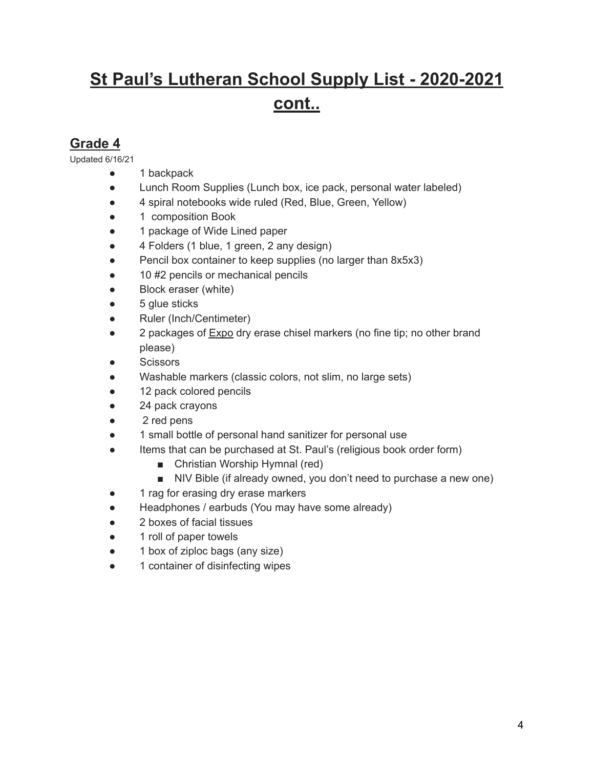#### **Grade 4**

Updated 6/16/21

- 1 backpack
- Lunch Room Supplies (Lunch box, ice pack, personal water labeled)
- 4 spiral notebooks wide ruled (Red, Blue, Green, Yellow)
- 1 composition Book
- 1 package of Wide Lined paper
- 4 Folders (1 blue, 1 green, 2 any design)
- Pencil box container to keep supplies (no larger than 8x5x3)
- 10 #2 pencils or mechanical pencils
- Block eraser (white)
- 5 glue sticks
- Ruler (Inch/Centimeter)
- 2 packages of Expo dry erase chisel markers (no fine tip; no other brand please)
- Scissors
- Washable markers (classic colors, not slim, no large sets)
- 12 pack colored pencils
- 24 pack crayons
- 2 red pens
- 1 small bottle of personal hand sanitizer for personal use
- Items that can be purchased at St. Paul's (religious book order form)
	- Christian Worship Hymnal (red)
	- NIV Bible (if already owned, you don't need to purchase a new one)
- 1 rag for erasing dry erase markers
- Headphones / earbuds (You may have some already)
- 2 boxes of facial tissues
- 1 roll of paper towels
- 1 box of ziploc bags (any size)
- 1 container of disinfecting wipes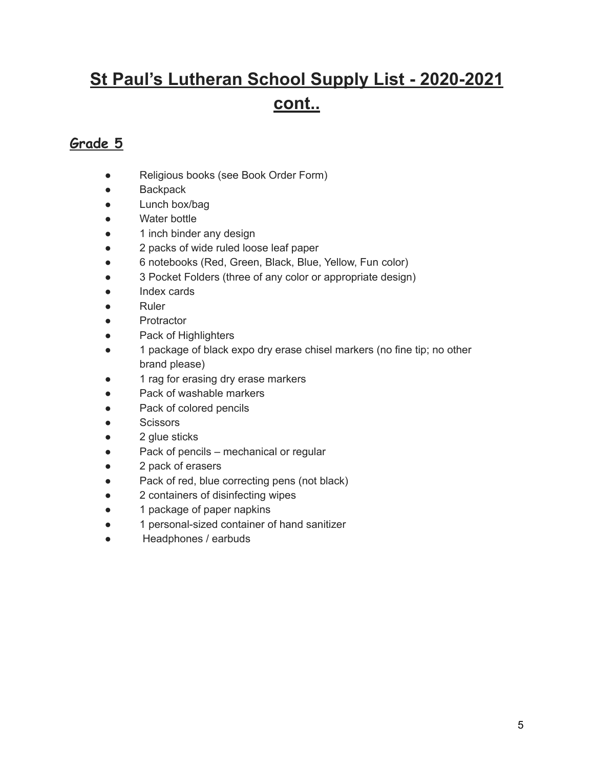### **Grade 5**

- Religious books (see Book Order Form)
- Backpack
- Lunch box/bag
- Water bottle
- 1 inch binder any design
- 2 packs of wide ruled loose leaf paper
- 6 notebooks (Red, Green, Black, Blue, Yellow, Fun color)
- 3 Pocket Folders (three of any color or appropriate design)
- Index cards
- Ruler
- Protractor
- Pack of Highlighters
- 1 package of black expo dry erase chisel markers (no fine tip; no other brand please)
- 1 rag for erasing dry erase markers
- Pack of washable markers
- Pack of colored pencils
- Scissors
- 2 glue sticks
- Pack of pencils mechanical or regular
- 2 pack of erasers
- Pack of red, blue correcting pens (not black)
- 2 containers of disinfecting wipes
- 1 package of paper napkins
- 1 personal-sized container of hand sanitizer
- Headphones / earbuds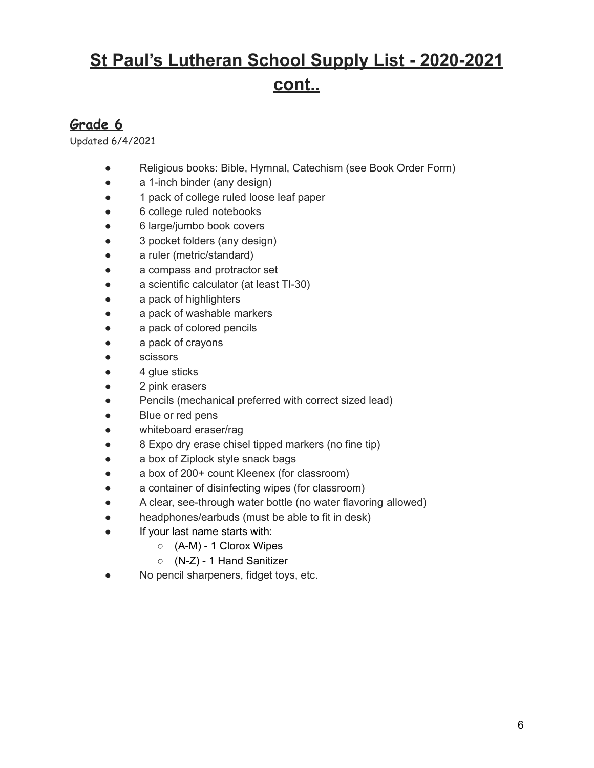### **Grade 6**

Updated 6/4/2021

- Religious books: Bible, Hymnal, Catechism (see Book Order Form)
- a 1-inch binder (any design)
- 1 pack of college ruled loose leaf paper
- 6 college ruled notebooks
- 6 large/jumbo book covers
- 3 pocket folders (any design)
- a ruler (metric/standard)
- a compass and protractor set
- a scientific calculator (at least TI-30)
- a pack of highlighters
- a pack of washable markers
- a pack of colored pencils
- a pack of crayons
- scissors
- 4 glue sticks
- 2 pink erasers
- Pencils (mechanical preferred with correct sized lead)
- Blue or red pens
- whiteboard eraser/rag
- 8 Expo dry erase chisel tipped markers (no fine tip)
- a box of Ziplock style snack bags
- a box of 200+ count Kleenex (for classroom)
- a container of disinfecting wipes (for classroom)
- A clear, see-through water bottle (no water flavoring allowed)
- headphones/earbuds (must be able to fit in desk)
- If your last name starts with:
	- (A-M) 1 Clorox Wipes
	- (N-Z) 1 Hand Sanitizer
- No pencil sharpeners, fidget toys, etc.